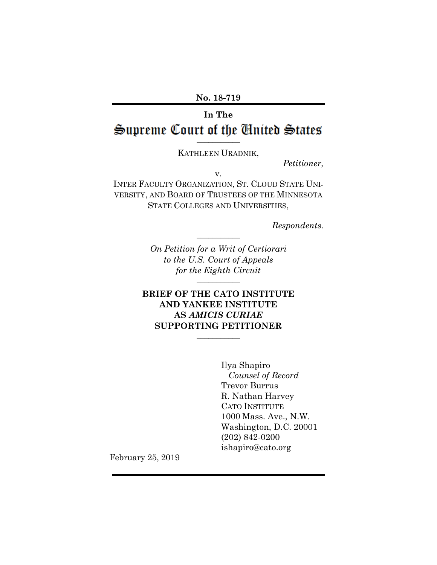**No. 18-719**

# **In The \_\_\_\_\_\_\_\_\_\_\_**

KATHLEEN URADNIK,

*Petitioner,*

v.

INTER FACULTY ORGANIZATION, ST. CLOUD STATE UNI-VERSITY, AND BOARD OF TRUSTEES OF THE MINNESOTA STATE COLLEGES AND UNIVERSITIES,

*Respondents.*

*On Petition for a Writ of Certiorari to the U.S. Court of Appeals for the Eighth Circuit* **\_\_\_\_\_\_\_\_\_\_\_**

**\_\_\_\_\_\_\_\_\_\_\_**

#### **BRIEF OF THE CATO INSTITUTE AND YANKEE INSTITUTE AS** *AMICIS CURIAE* **SUPPORTING PETITIONER \_\_\_\_\_\_\_\_\_\_\_**

Ilya Shapiro *Counsel of Record* Trevor Burrus R. Nathan Harvey CATO INSTITUTE 1000 Mass. Ave., N.W. Washington, D.C. 20001 (202) 842-0200 ishapiro@cato.org

February 25, 2019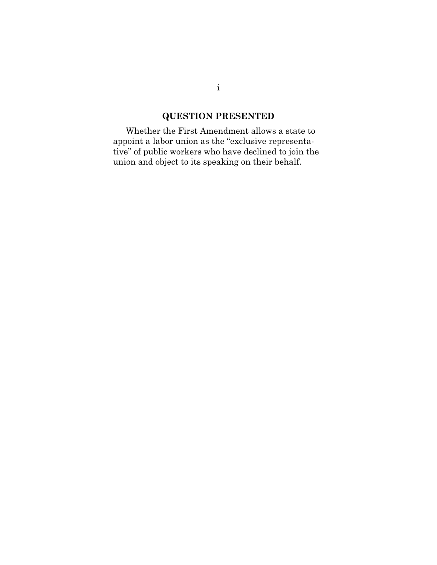# **QUESTION PRESENTED**

<span id="page-1-0"></span>Whether the First Amendment allows a state to appoint a labor union as the "exclusive representative" of public workers who have declined to join the union and object to its speaking on their behalf.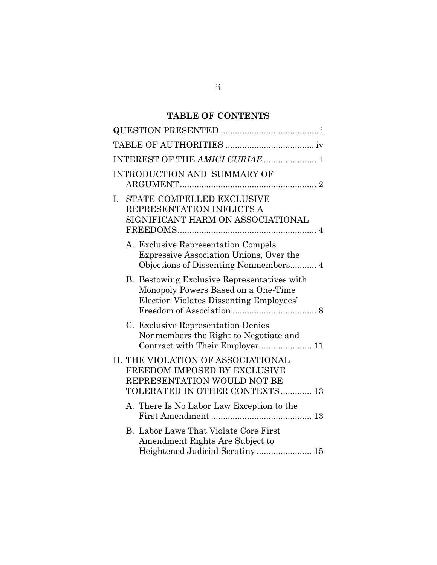## **TABLE OF CONTENTS**

|    | INTEREST OF THE AMICI CURIAE  1                                                                                                      |
|----|--------------------------------------------------------------------------------------------------------------------------------------|
|    | <b>INTRODUCTION AND SUMMARY OF</b>                                                                                                   |
| I. | STATE-COMPELLED EXCLUSIVE<br>REPRESENTATION INFLICTS A<br>SIGNIFICANT HARM ON ASSOCIATIONAL                                          |
|    | A. Exclusive Representation Compels<br>Expressive Association Unions, Over the                                                       |
|    | B. Bestowing Exclusive Representatives with<br>Monopoly Powers Based on a One-Time<br>Election Violates Dissenting Employees'        |
|    | C. Exclusive Representation Denies<br>Nonmembers the Right to Negotiate and<br>Contract with Their Employer 11                       |
|    | II. THE VIOLATION OF ASSOCIATIONAL<br>FREEDOM IMPOSED BY EXCLUSIVE<br>REPRESENTATION WOULD NOT BE<br>TOLERATED IN OTHER CONTEXTS  13 |
|    | A. There Is No Labor Law Exception to the                                                                                            |
|    | B. Labor Laws That Violate Core First<br>Amendment Rights Are Subject to                                                             |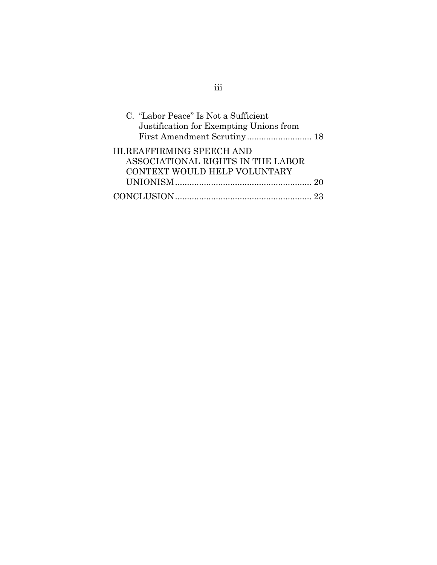| C. "Labor Peace" Is Not a Sufficient    |  |
|-----------------------------------------|--|
| Justification for Exempting Unions from |  |
|                                         |  |
| <b>III.REAFFIRMING SPEECH AND</b>       |  |
| ASSOCIATIONAL RIGHTS IN THE LABOR       |  |
| CONTEXT WOULD HELP VOLUNTARY            |  |
|                                         |  |
|                                         |  |

# iii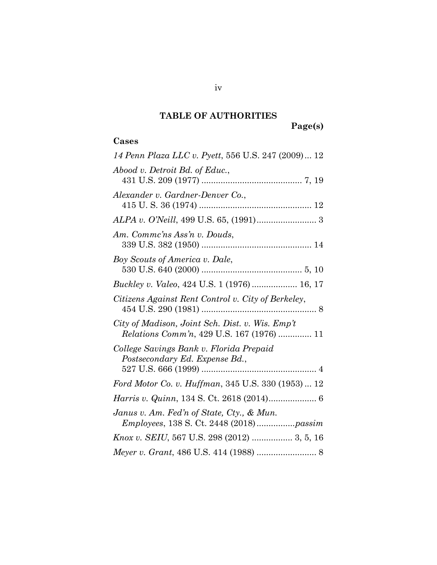# **TABLE OF AUTHORITIES**

**Page(s)**

### <span id="page-4-0"></span>**Cases**

| 14 Penn Plaza LLC v. Pyett, 556 U.S. 247 (2009) 12                                                  |
|-----------------------------------------------------------------------------------------------------|
| Abood v. Detroit Bd. of Educ.,                                                                      |
| Alexander v. Gardner-Denver Co.,                                                                    |
|                                                                                                     |
| Am. Commc'ns Ass'n v. Douds,                                                                        |
| Boy Scouts of America v. Dale,                                                                      |
| Buckley v. Valeo, 424 U.S. 1 (1976)  16, 17                                                         |
| Citizens Against Rent Control v. City of Berkeley,                                                  |
| City of Madison, Joint Sch. Dist. v. Wis. Emp't<br><i>Relations Comm'n, 429 U.S. 167 (1976)  11</i> |
| College Savings Bank v. Florida Prepaid<br>Postsecondary Ed. Expense Bd.,                           |
|                                                                                                     |
| Ford Motor Co. v. Huffman, 345 U.S. 330 (1953)  12                                                  |
| Harris v. Quinn, 134 S. Ct. 2618 (2014) 6                                                           |
| Janus v. Am. Fed'n of State, Cty., & Mun.<br><i>Employees, 138 S. Ct. 2448 (2018) passim</i>        |
| Knox v. SEIU, 567 U.S. 298 (2012)  3, 5, 16                                                         |
|                                                                                                     |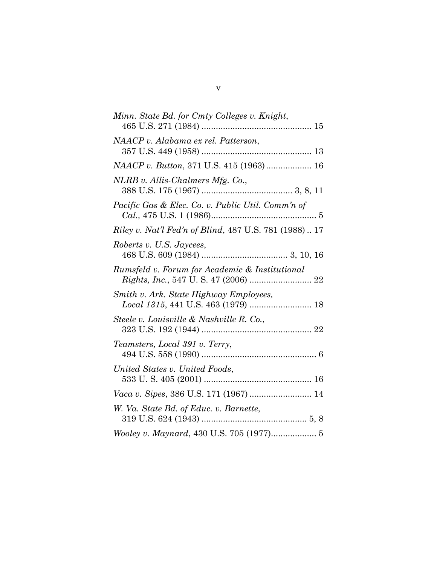| Minn. State Bd. for Cmty Colleges v. Knight,                  |
|---------------------------------------------------------------|
|                                                               |
| NAACP v. Alabama ex rel. Patterson,                           |
|                                                               |
| NAACP v. Button, 371 U.S. 415 (1963)  16                      |
| NLRB v. Allis-Chalmers Mfg. Co.,                              |
| <i>Pacific Gas &amp; Elec. Co. v. Public Util. Comm'n of</i>  |
| <i>Riley v. Nat'l Fed'n of Blind, 487 U.S. 781 (1988)  17</i> |
| Roberts v. U.S. Jaycees,                                      |
| Rumsfeld v. Forum for Academic & Institutional                |
| Smith v. Ark. State Highway Employees,                        |
| Steele v. Louisville & Nashville R. Co.,                      |
| Teamsters, Local 391 v. Terry,                                |
| United States v. United Foods,                                |
| Vaca v. Sipes, 386 U.S. 171 (1967)  14                        |
| W. Va. State Bd. of Educ. v. Barnette,                        |
| Wooley v. Maynard, 430 U.S. 705 (1977) 5                      |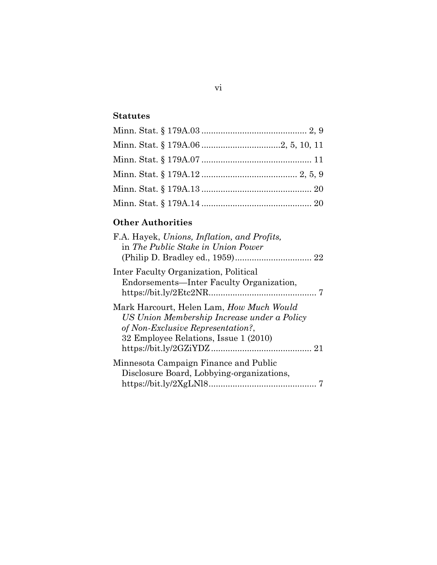### **Statutes**

# **Other Authorities**

| F.A. Hayek, Unions, Inflation, and Profits,<br>in The Public Stake in Union Power                                                                                     |
|-----------------------------------------------------------------------------------------------------------------------------------------------------------------------|
| Inter Faculty Organization, Political<br>Endorsements—Inter Faculty Organization,                                                                                     |
| Mark Harcourt, Helen Lam, How Much Would<br>US Union Membership Increase under a Policy<br>of Non-Exclusive Representation?,<br>32 Employee Relations, Issue 1 (2010) |
| Minnesota Campaign Finance and Public<br>Disclosure Board, Lobbying-organizations,                                                                                    |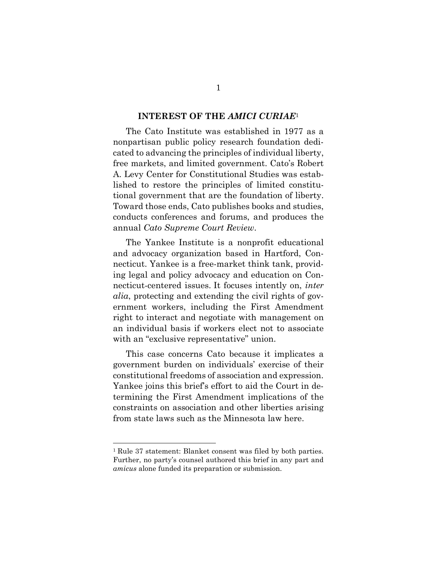#### **INTEREST OF THE** *AMICI CURIAE*<sup>1</sup>

<span id="page-7-0"></span>The Cato Institute was established in 1977 as a nonpartisan public policy research foundation dedicated to advancing the principles of individual liberty, free markets, and limited government. Cato's Robert A. Levy Center for Constitutional Studies was established to restore the principles of limited constitutional government that are the foundation of liberty. Toward those ends, Cato publishes books and studies, conducts conferences and forums, and produces the annual *Cato Supreme Court Review*.

The Yankee Institute is a nonprofit educational and advocacy organization based in Hartford, Connecticut. Yankee is a free-market think tank, providing legal and policy advocacy and education on Connecticut-centered issues. It focuses intently on, *inter alia*, protecting and extending the civil rights of government workers, including the First Amendment right to interact and negotiate with management on an individual basis if workers elect not to associate with an "exclusive representative" union.

This case concerns Cato because it implicates a government burden on individuals' exercise of their constitutional freedoms of association and expression. Yankee joins this brief's effort to aid the Court in determining the First Amendment implications of the constraints on association and other liberties arising from state laws such as the Minnesota law here.

 $\overline{a}$ 

<sup>1</sup> Rule 37 statement: Blanket consent was filed by both parties. Further, no party's counsel authored this brief in any part and *amicus* alone funded its preparation or submission.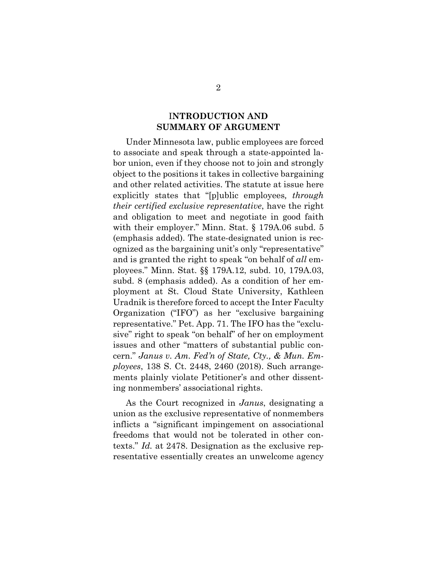#### I**NTRODUCTION AND SUMMARY OF ARGUMENT**

<span id="page-8-0"></span>Under Minnesota law, public employees are forced to associate and speak through a state-appointed labor union, even if they choose not to join and strongly object to the positions it takes in collective bargaining and other related activities. The statute at issue here explicitly states that "[p]ublic employees*, through their certified exclusive representative*, have the right and obligation to meet and negotiate in good faith with their employer." Minn. Stat. § 179A.06 subd. 5 (emphasis added). The state-designated union is recognized as the bargaining unit's only "representative" and is granted the right to speak "on behalf of *all* employees." Minn. Stat. §§ 179A.12, subd. 10, 179A.03, subd. 8 (emphasis added). As a condition of her employment at St. Cloud State University, Kathleen Uradnik is therefore forced to accept the Inter Faculty Organization ("IFO") as her "exclusive bargaining representative." Pet. App. 71. The IFO has the "exclusive" right to speak "on behalf" of her on employment issues and other "matters of substantial public concern." *Janus v. Am. Fed'n of State, Cty., & Mun. Employees*, 138 S. Ct. 2448, 2460 (2018). Such arrangements plainly violate Petitioner's and other dissenting nonmembers' associational rights.

As the Court recognized in *Janus*, designating a union as the exclusive representative of nonmembers inflicts a "significant impingement on associational freedoms that would not be tolerated in other contexts." *Id.* at 2478. Designation as the exclusive representative essentially creates an unwelcome agency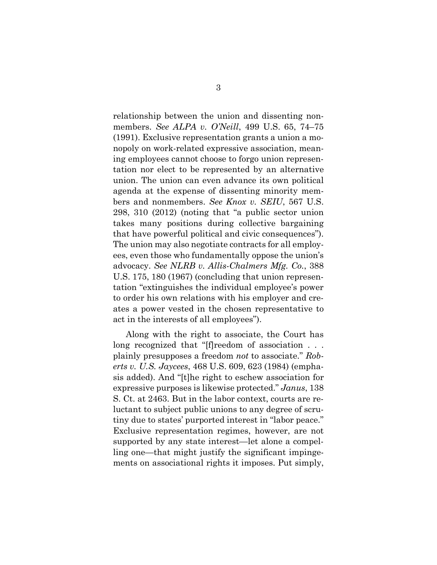relationship between the union and dissenting nonmembers. *See ALPA v. O'Neill*, 499 U.S. 65, 74–75 (1991). Exclusive representation grants a union a monopoly on work-related expressive association, meaning employees cannot choose to forgo union representation nor elect to be represented by an alternative union. The union can even advance its own political agenda at the expense of dissenting minority members and nonmembers. *See Knox v. SEIU*, 567 U.S. 298, 310 (2012) (noting that "a public sector union takes many positions during collective bargaining that have powerful political and civic consequences"). The union may also negotiate contracts for all employees, even those who fundamentally oppose the union's advocacy. *See NLRB v. Allis-Chalmers Mfg. Co.*, 388 U.S. 175, 180 (1967) (concluding that union representation "extinguishes the individual employee's power to order his own relations with his employer and creates a power vested in the chosen representative to act in the interests of all employees").

Along with the right to associate, the Court has long recognized that "[f]reedom of association . . . plainly presupposes a freedom *not* to associate." *Roberts v. U.S. Jaycees*, 468 U.S. 609, 623 (1984) (emphasis added). And "[t]he right to eschew association for expressive purposes is likewise protected." *Janus*, 138 S. Ct. at 2463. But in the labor context, courts are reluctant to subject public unions to any degree of scrutiny due to states' purported interest in "labor peace." Exclusive representation regimes, however, are not supported by any state interest—let alone a compelling one—that might justify the significant impingements on associational rights it imposes. Put simply,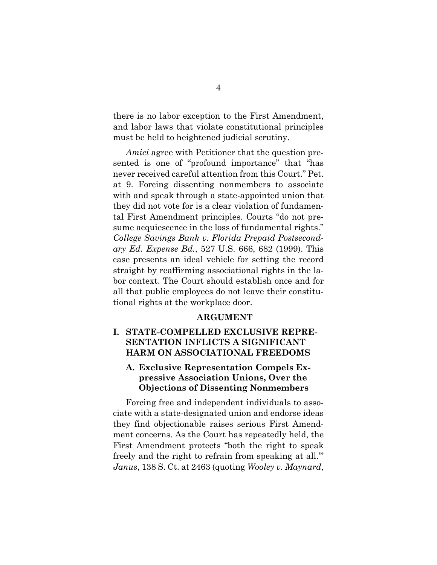there is no labor exception to the First Amendment, and labor laws that violate constitutional principles must be held to heightened judicial scrutiny.

*Amici* agree with Petitioner that the question presented is one of "profound importance" that "has never received careful attention from this Court." Pet. at 9. Forcing dissenting nonmembers to associate with and speak through a state-appointed union that they did not vote for is a clear violation of fundamental First Amendment principles. Courts "do not presume acquiescence in the loss of fundamental rights." *College Savings Bank v. Florida Prepaid Postsecondary Ed. Expense Bd.*, 527 U.S. 666, 682 (1999). This case presents an ideal vehicle for setting the record straight by reaffirming associational rights in the labor context. The Court should establish once and for all that public employees do not leave their constitutional rights at the workplace door.

#### **ARGUMENT**

#### <span id="page-10-0"></span>**I. STATE-COMPELLED EXCLUSIVE REPRE-SENTATION INFLICTS A SIGNIFICANT HARM ON ASSOCIATIONAL FREEDOMS**

#### <span id="page-10-1"></span>**A. Exclusive Representation Compels Expressive Association Unions, Over the Objections of Dissenting Nonmembers**

Forcing free and independent individuals to associate with a state-designated union and endorse ideas they find objectionable raises serious First Amendment concerns. As the Court has repeatedly held, the First Amendment protects "both the right to speak freely and the right to refrain from speaking at all.'" *Janus*, 138 S. Ct. at 2463 (quoting *Wooley v. Maynard*,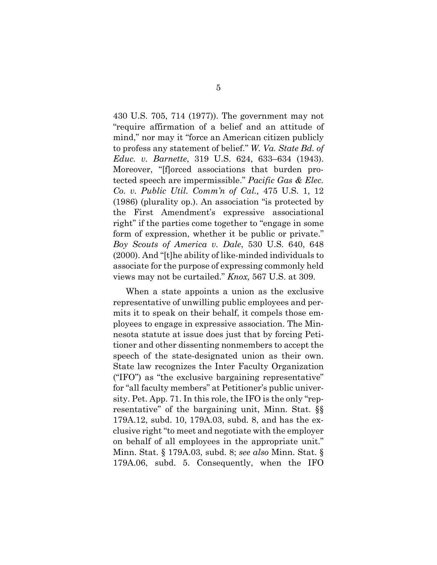430 U.S. 705, 714 (1977)). The government may not "require affirmation of a belief and an attitude of mind," nor may it "force an American citizen publicly to profess any statement of belief." *W. Va. State Bd. of Educ. v. Barnette*, 319 U.S. 624, 633–634 (1943). Moreover, "[f]orced associations that burden protected speech are impermissible." *Pacific Gas & Elec. Co. v. Public Util. Comm'n of Cal.,* 475 U.S. 1, 12 (1986) (plurality op.). An association "is protected by the First Amendment's expressive associational right" if the parties come together to "engage in some form of expression, whether it be public or private." *Boy Scouts of America v. Dale*, 530 U.S. 640, 648 (2000). And "[t]he ability of like-minded individuals to associate for the purpose of expressing commonly held views may not be curtailed." *Knox,* 567 U.S. at 309.

When a state appoints a union as the exclusive representative of unwilling public employees and permits it to speak on their behalf, it compels those employees to engage in expressive association. The Minnesota statute at issue does just that by forcing Petitioner and other dissenting nonmembers to accept the speech of the state-designated union as their own. State law recognizes the Inter Faculty Organization ("IFO") as "the exclusive bargaining representative" for "all faculty members" at Petitioner's public university. Pet. App. 71. In this role, the IFO is the only "representative" of the bargaining unit, Minn. Stat. §§ 179A.12, subd. 10, 179A.03, subd. 8, and has the exclusive right "to meet and negotiate with the employer on behalf of all employees in the appropriate unit." Minn. Stat. § 179A.03, subd. 8; *see also* Minn. Stat. § 179A.06, subd. 5. Consequently, when the IFO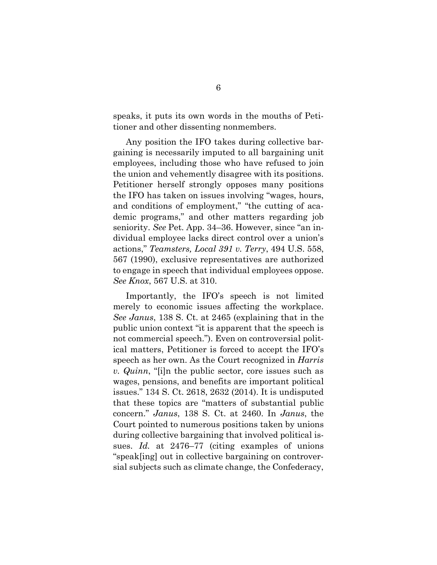speaks, it puts its own words in the mouths of Petitioner and other dissenting nonmembers.

Any position the IFO takes during collective bargaining is necessarily imputed to all bargaining unit employees, including those who have refused to join the union and vehemently disagree with its positions. Petitioner herself strongly opposes many positions the IFO has taken on issues involving "wages, hours, and conditions of employment," "the cutting of academic programs," and other matters regarding job seniority. *See* Pet. App. 34–36. However, since "an individual employee lacks direct control over a union's actions," *Teamsters, Local 391 v. Terry*, 494 U.S. 558, 567 (1990), exclusive representatives are authorized to engage in speech that individual employees oppose. *See Knox*, 567 U.S. at 310.

Importantly, the IFO's speech is not limited merely to economic issues affecting the workplace. *See Janus*, 138 S. Ct. at 2465 (explaining that in the public union context "it is apparent that the speech is not commercial speech."). Even on controversial political matters, Petitioner is forced to accept the IFO's speech as her own. As the Court recognized in *Harris v. Quinn*, "[i]n the public sector, core issues such as wages, pensions, and benefits are important political issues." 134 S. Ct. 2618, 2632 (2014). It is undisputed that these topics are "matters of substantial public concern." *Janus*, 138 S. Ct. at 2460. In *Janus*, the Court pointed to numerous positions taken by unions during collective bargaining that involved political issues. *Id.* at 2476–77 (citing examples of unions "speak[ing] out in collective bargaining on controversial subjects such as climate change, the Confederacy,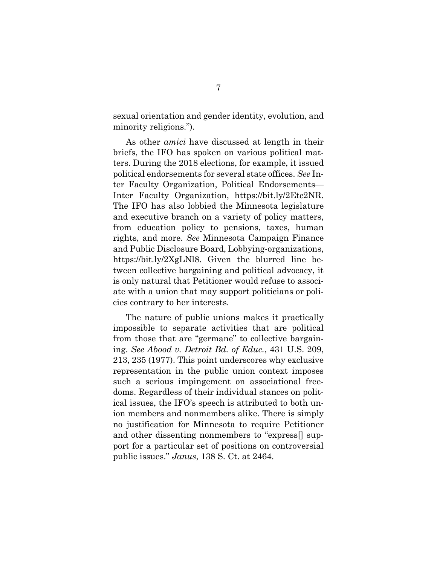sexual orientation and gender identity, evolution, and minority religions.").

As other *amici* have discussed at length in their briefs, the IFO has spoken on various political matters. During the 2018 elections, for example, it issued political endorsements for several state offices. *See* Inter Faculty Organization, Political Endorsements— Inter Faculty Organization, https://bit.ly/2Etc2NR. The IFO has also lobbied the Minnesota legislature and executive branch on a variety of policy matters, from education policy to pensions, taxes, human rights, and more. *See* Minnesota Campaign Finance and Public Disclosure Board, Lobbying-organizations, https://bit.ly/2XgLNl8. Given the blurred line between collective bargaining and political advocacy, it is only natural that Petitioner would refuse to associate with a union that may support politicians or policies contrary to her interests.

The nature of public unions makes it practically impossible to separate activities that are political from those that are "germane" to collective bargaining. *See Abood v. Detroit Bd. of Educ.*, 431 U.S. 209, 213, 235 (1977). This point underscores why exclusive representation in the public union context imposes such a serious impingement on associational freedoms. Regardless of their individual stances on political issues, the IFO's speech is attributed to both union members and nonmembers alike. There is simply no justification for Minnesota to require Petitioner and other dissenting nonmembers to "express[] support for a particular set of positions on controversial public issues." *Janus*, 138 S. Ct. at 2464.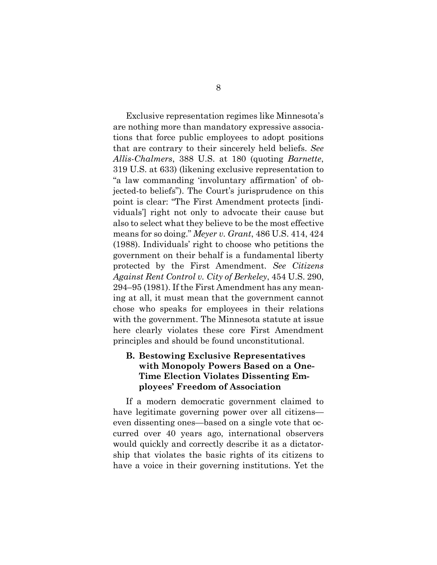Exclusive representation regimes like Minnesota's are nothing more than mandatory expressive associations that force public employees to adopt positions that are contrary to their sincerely held beliefs. *See Allis-Chalmers*, 388 U.S. at 180 (quoting *Barnette*, 319 U.S. at 633) (likening exclusive representation to "a law commanding 'involuntary affirmation' of objected-to beliefs"). The Court's jurisprudence on this point is clear: "The First Amendment protects [individuals'] right not only to advocate their cause but also to select what they believe to be the most effective means for so doing." *Meyer v. Grant*, 486 U.S. 414, 424 (1988). Individuals' right to choose who petitions the government on their behalf is a fundamental liberty protected by the First Amendment. *See Citizens Against Rent Control v. City of Berkeley*, 454 U.S. 290, 294–95 (1981). If the First Amendment has any meaning at all, it must mean that the government cannot chose who speaks for employees in their relations with the government. The Minnesota statute at issue here clearly violates these core First Amendment principles and should be found unconstitutional.

#### <span id="page-14-0"></span>**B. Bestowing Exclusive Representatives with Monopoly Powers Based on a One-Time Election Violates Dissenting Employees' Freedom of Association**

If a modern democratic government claimed to have legitimate governing power over all citizens even dissenting ones—based on a single vote that occurred over 40 years ago, international observers would quickly and correctly describe it as a dictatorship that violates the basic rights of its citizens to have a voice in their governing institutions. Yet the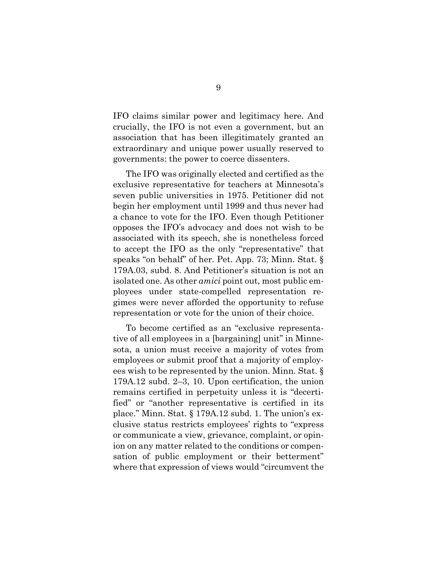IFO claims similar power and legitimacy here. And crucially, the IFO is not even a government, but an association that has been illegitimately granted an extraordinary and unique power usually reserved to governments: the power to coerce dissenters.

The IFO was originally elected and certified as the exclusive representative for teachers at Minnesota's seven public universities in 1975. Petitioner did not begin her employment until 1999 and thus never had a chance to vote for the IFO. Even though Petitioner opposes the IFO's advocacy and does not wish to be associated with its speech, she is nonetheless forced to accept the IFO as the only "representative" that speaks "on behalf" of her. Pet. App. 73; Minn. Stat. § 179A.03, subd. 8. And Petitioner's situation is not an isolated one. As other *amici* point out, most public employees under state-compelled representation regimes were never afforded the opportunity to refuse representation or vote for the union of their choice.

To become certified as an "exclusive representative of all employees in a [bargaining] unit" in Minnesota, a union must receive a majority of votes from employees or submit proof that a majority of employees wish to be represented by the union. Minn. Stat. § 179A.12 subd. 2–3, 10. Upon certification, the union remains certified in perpetuity unless it is "decertified" or "another representative is certified in its place." Minn. Stat. § 179A.12 subd. 1. The union's exclusive status restricts employees' rights to "express or communicate a view, grievance, complaint, or opinion on any matter related to the conditions or compensation of public employment or their betterment" where that expression of views would "circumvent the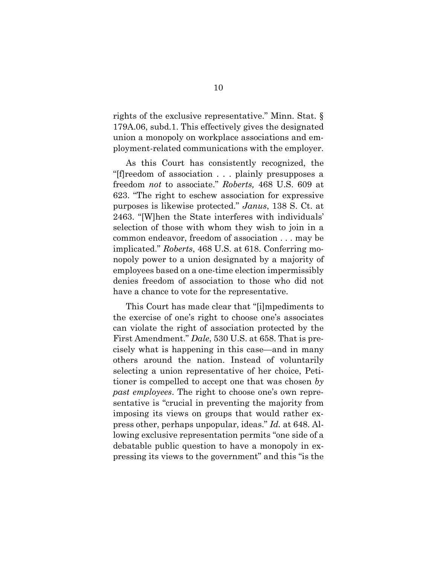rights of the exclusive representative." Minn. Stat. § 179A.06, subd.1. This effectively gives the designated union a monopoly on workplace associations and employment-related communications with the employer.

As this Court has consistently recognized, the "[f]reedom of association . . . plainly presupposes a freedom *not* to associate." *Roberts,* 468 U.S. 609 at 623. "The right to eschew association for expressive purposes is likewise protected." *Janus*, 138 S. Ct. at 2463. "[W]hen the State interferes with individuals' selection of those with whom they wish to join in a common endeavor, freedom of association . . . may be implicated." *Roberts*, 468 U.S. at 618. Conferring monopoly power to a union designated by a majority of employees based on a one-time election impermissibly denies freedom of association to those who did not have a chance to vote for the representative.

This Court has made clear that "[i]mpediments to the exercise of one's right to choose one's associates can violate the right of association protected by the First Amendment." *Dale*, 530 U.S. at 658. That is precisely what is happening in this case—and in many others around the nation. Instead of voluntarily selecting a union representative of her choice, Petitioner is compelled to accept one that was chosen *by past employees*. The right to choose one's own representative is "crucial in preventing the majority from imposing its views on groups that would rather express other, perhaps unpopular, ideas." *Id.* at 648. Allowing exclusive representation permits "one side of a debatable public question to have a monopoly in expressing its views to the government" and this "is the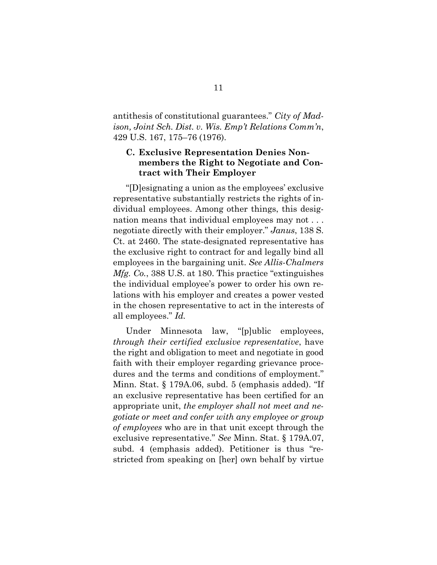antithesis of constitutional guarantees." *City of Madison, Joint Sch. Dist. v. Wis. Emp't Relations Comm'n*, 429 U.S. 167, 175–76 (1976).

#### <span id="page-17-0"></span>**C. Exclusive Representation Denies Nonmembers the Right to Negotiate and Contract with Their Employer**

"[D]esignating a union as the employees' exclusive representative substantially restricts the rights of individual employees. Among other things, this designation means that individual employees may not . . . negotiate directly with their employer." *Janus*, 138 S. Ct. at 2460. The state-designated representative has the exclusive right to contract for and legally bind all employees in the bargaining unit. *See Allis-Chalmers Mfg. Co.*, 388 U.S. at 180. This practice "extinguishes the individual employee's power to order his own relations with his employer and creates a power vested in the chosen representative to act in the interests of all employees." *Id.*

Under Minnesota law, "[p]ublic employees, *through their certified exclusive representative*, have the right and obligation to meet and negotiate in good faith with their employer regarding grievance procedures and the terms and conditions of employment." Minn. Stat. § 179A.06, subd. 5 (emphasis added). "If an exclusive representative has been certified for an appropriate unit, *the employer shall not meet and negotiate or meet and confer with any employee or group of employees* who are in that unit except through the exclusive representative." *See* Minn. Stat. § 179A.07, subd. 4 (emphasis added). Petitioner is thus "restricted from speaking on [her] own behalf by virtue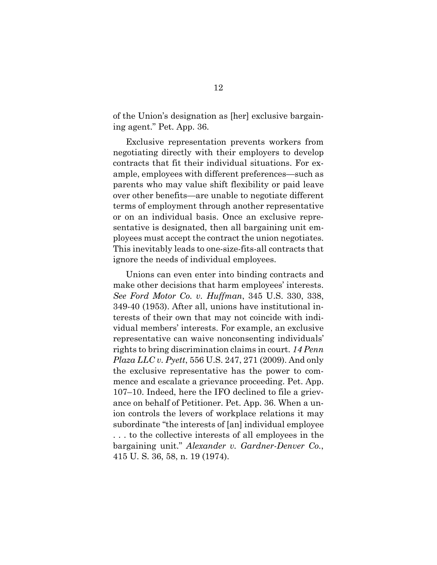of the Union's designation as [her] exclusive bargaining agent." Pet. App. 36.

Exclusive representation prevents workers from negotiating directly with their employers to develop contracts that fit their individual situations. For example, employees with different preferences—such as parents who may value shift flexibility or paid leave over other benefits—are unable to negotiate different terms of employment through another representative or on an individual basis. Once an exclusive representative is designated, then all bargaining unit employees must accept the contract the union negotiates. This inevitably leads to one-size-fits-all contracts that ignore the needs of individual employees.

Unions can even enter into binding contracts and make other decisions that harm employees' interests. *See Ford Motor Co. v. Huffman*, 345 U.S. 330, 338, 349-40 (1953). After all, unions have institutional interests of their own that may not coincide with individual members' interests. For example, an exclusive representative can waive nonconsenting individuals' rights to bring discrimination claims in court. *14 Penn Plaza LLC v. Pyett*, 556 U.S. 247, 271 (2009). And only the exclusive representative has the power to commence and escalate a grievance proceeding. Pet. App. 107–10. Indeed, here the IFO declined to file a grievance on behalf of Petitioner. Pet. App. 36. When a union controls the levers of workplace relations it may subordinate "the interests of [an] individual employee . . . to the collective interests of all employees in the bargaining unit." *Alexander v. Gardner-Denver Co.*, 415 U. S. 36, 58, n. 19 (1974).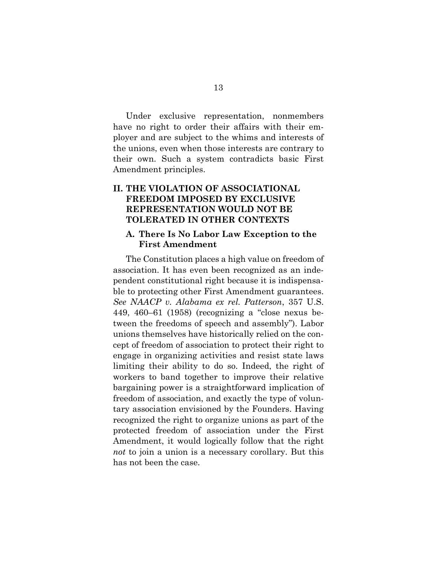Under exclusive representation, nonmembers have no right to order their affairs with their employer and are subject to the whims and interests of the unions, even when those interests are contrary to their own. Such a system contradicts basic First Amendment principles.

#### <span id="page-19-0"></span>**II. THE VIOLATION OF ASSOCIATIONAL FREEDOM IMPOSED BY EXCLUSIVE REPRESENTATION WOULD NOT BE TOLERATED IN OTHER CONTEXTS**

#### <span id="page-19-1"></span>**A. There Is No Labor Law Exception to the First Amendment**

The Constitution places a high value on freedom of association. It has even been recognized as an independent constitutional right because it is indispensable to protecting other First Amendment guarantees. *See NAACP v. Alabama ex rel. Patterson*, 357 U.S. 449, 460–61 (1958) (recognizing a "close nexus between the freedoms of speech and assembly"). Labor unions themselves have historically relied on the concept of freedom of association to protect their right to engage in organizing activities and resist state laws limiting their ability to do so. Indeed, the right of workers to band together to improve their relative bargaining power is a straightforward implication of freedom of association, and exactly the type of voluntary association envisioned by the Founders. Having recognized the right to organize unions as part of the protected freedom of association under the First Amendment, it would logically follow that the right *not* to join a union is a necessary corollary. But this has not been the case.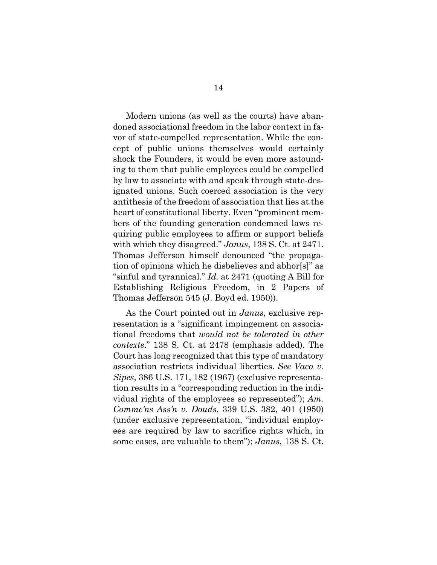Modern unions (as well as the courts) have abandoned associational freedom in the labor context in favor of state-compelled representation. While the concept of public unions themselves would certainly shock the Founders, it would be even more astounding to them that public employees could be compelled by law to associate with and speak through state-designated unions. Such coerced association is the very antithesis of the freedom of association that lies at the heart of constitutional liberty. Even "prominent members of the founding generation condemned laws requiring public employees to affirm or support beliefs with which they disagreed." *Janus*, 138 S. Ct. at 2471. Thomas Jefferson himself denounced "the propagation of opinions which he disbelieves and abhor[s]" as "sinful and tyrannical." *Id.* at 2471 (quoting A Bill for Establishing Religious Freedom, in 2 Papers of Thomas Jefferson 545 (J. Boyd ed. 1950)).

As the Court pointed out in *Janus*, exclusive representation is a "significant impingement on associational freedoms that *would not be tolerated in other contexts*." 138 S. Ct. at 2478 (emphasis added). The Court has long recognized that this type of mandatory association restricts individual liberties. *See Vaca v. Sipes*, 386 U.S. 171, 182 (1967) (exclusive representation results in a "corresponding reduction in the individual rights of the employees so represented"); *Am. Commc'ns Ass'n v. Douds*, 339 U.S. 382, 401 (1950) (under exclusive representation, "individual employees are required by law to sacrifice rights which, in some cases, are valuable to them"); *Janus*, 138 S. Ct.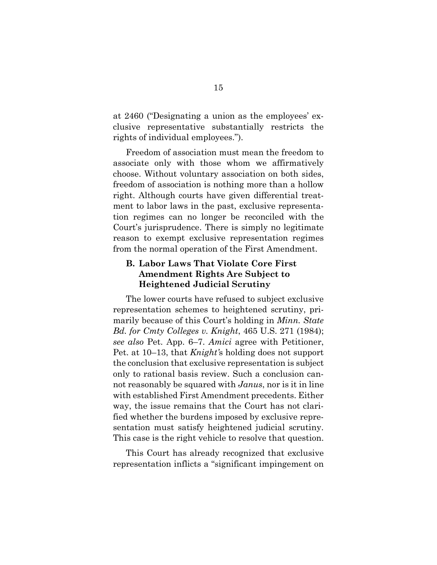at 2460 ("Designating a union as the employees' exclusive representative substantially restricts the rights of individual employees.").

Freedom of association must mean the freedom to associate only with those whom we affirmatively choose. Without voluntary association on both sides, freedom of association is nothing more than a hollow right. Although courts have given differential treatment to labor laws in the past, exclusive representation regimes can no longer be reconciled with the Court's jurisprudence. There is simply no legitimate reason to exempt exclusive representation regimes from the normal operation of the First Amendment.

#### <span id="page-21-0"></span>**B. Labor Laws That Violate Core First Amendment Rights Are Subject to Heightened Judicial Scrutiny**

The lower courts have refused to subject exclusive representation schemes to heightened scrutiny, primarily because of this Court's holding in *Minn. State Bd. for Cmty Colleges v. Knight*, 465 U.S. 271 (1984); *see also* Pet. App. 6–7. *Amici* agree with Petitioner, Pet. at 10–13, that *Knight'*s holding does not support the conclusion that exclusive representation is subject only to rational basis review. Such a conclusion cannot reasonably be squared with *Janus*, nor is it in line with established First Amendment precedents. Either way, the issue remains that the Court has not clarified whether the burdens imposed by exclusive representation must satisfy heightened judicial scrutiny. This case is the right vehicle to resolve that question.

This Court has already recognized that exclusive representation inflicts a "significant impingement on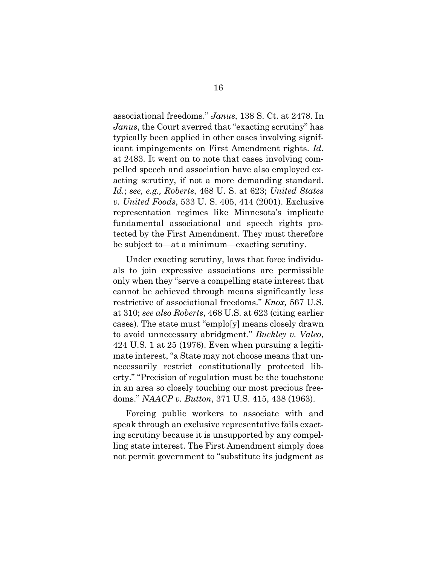associational freedoms." *Janus*, 138 S. Ct. at 2478. In *Janus*, the Court averred that "exacting scrutiny" has typically been applied in other cases involving significant impingements on First Amendment rights. *Id.* at 2483. It went on to note that cases involving compelled speech and association have also employed exacting scrutiny, if not a more demanding standard. *Id.*; *see, e.g., Roberts*, 468 U. S. at 623; *United States v. United Foods*, 533 U. S. 405, 414 (2001). Exclusive representation regimes like Minnesota's implicate fundamental associational and speech rights protected by the First Amendment. They must therefore be subject to—at a minimum—exacting scrutiny.

Under exacting scrutiny, laws that force individuals to join expressive associations are permissible only when they "serve a compelling state interest that cannot be achieved through means significantly less restrictive of associational freedoms." *Knox,* 567 U.S. at 310; *see also Roberts*, 468 U.S. at 623 (citing earlier cases). The state must "emplo[y] means closely drawn to avoid unnecessary abridgment." *Buckley v. Valeo*, 424 U.S. 1 at 25 (1976). Even when pursuing a legitimate interest, "a State may not choose means that unnecessarily restrict constitutionally protected liberty." "Precision of regulation must be the touchstone in an area so closely touching our most precious freedoms." *NAACP v. Button*, 371 U.S. 415, 438 (1963).

Forcing public workers to associate with and speak through an exclusive representative fails exacting scrutiny because it is unsupported by any compelling state interest. The First Amendment simply does not permit government to "substitute its judgment as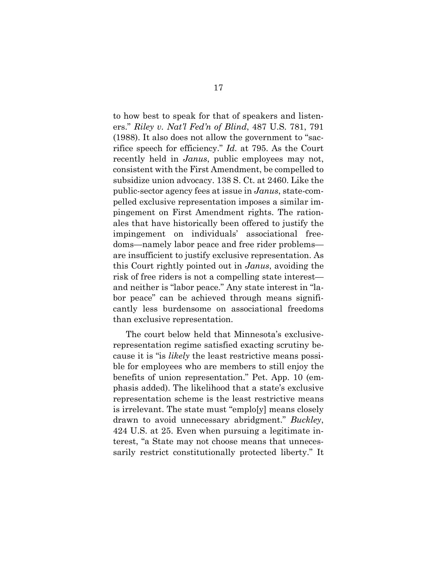to how best to speak for that of speakers and listeners." *Riley v. Nat'l Fed'n of Blind*, 487 U.S. 781, 791 (1988). It also does not allow the government to "sacrifice speech for efficiency." *Id.* at 795. As the Court recently held in *Janus*, public employees may not, consistent with the First Amendment, be compelled to subsidize union advocacy. 138 S. Ct. at 2460. Like the public-sector agency fees at issue in *Janus*, state-compelled exclusive representation imposes a similar impingement on First Amendment rights. The rationales that have historically been offered to justify the impingement on individuals' associational freedoms—namely labor peace and free rider problems are insufficient to justify exclusive representation. As this Court rightly pointed out in *Janus*, avoiding the risk of free riders is not a compelling state interest and neither is "labor peace." Any state interest in "labor peace" can be achieved through means significantly less burdensome on associational freedoms than exclusive representation.

The court below held that Minnesota's exclusiverepresentation regime satisfied exacting scrutiny because it is "is *likely* the least restrictive means possible for employees who are members to still enjoy the benefits of union representation." Pet. App. 10 (emphasis added). The likelihood that a state's exclusive representation scheme is the least restrictive means is irrelevant. The state must "emplo[y] means closely drawn to avoid unnecessary abridgment." *Buckley*, 424 U.S. at 25. Even when pursuing a legitimate interest, "a State may not choose means that unnecessarily restrict constitutionally protected liberty." It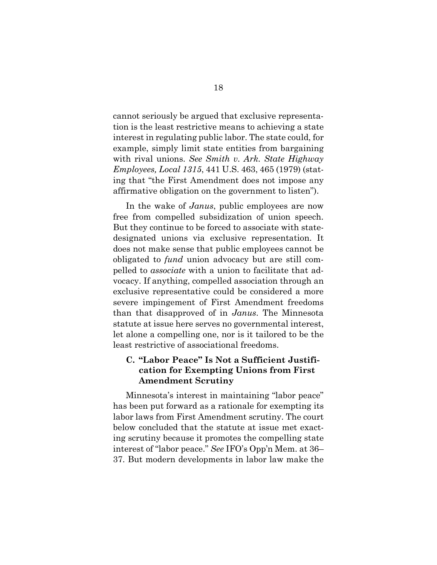cannot seriously be argued that exclusive representation is the least restrictive means to achieving a state interest in regulating public labor. The state could, for example, simply limit state entities from bargaining with rival unions. *See Smith v. Ark. State Highway Employees, Local 1315*, 441 U.S. 463, 465 (1979) (stating that "the First Amendment does not impose any affirmative obligation on the government to listen").

In the wake of *Janus*, public employees are now free from compelled subsidization of union speech. But they continue to be forced to associate with statedesignated unions via exclusive representation. It does not make sense that public employees cannot be obligated to *fund* union advocacy but are still compelled to *associate* with a union to facilitate that advocacy. If anything, compelled association through an exclusive representative could be considered a more severe impingement of First Amendment freedoms than that disapproved of in *Janus*. The Minnesota statute at issue here serves no governmental interest, let alone a compelling one, nor is it tailored to be the least restrictive of associational freedoms.

#### <span id="page-24-0"></span>**C. "Labor Peace" Is Not a Sufficient Justification for Exempting Unions from First Amendment Scrutiny**

Minnesota's interest in maintaining "labor peace" has been put forward as a rationale for exempting its labor laws from First Amendment scrutiny. The court below concluded that the statute at issue met exacting scrutiny because it promotes the compelling state interest of "labor peace." *See* IFO's Opp'n Mem. at 36– 37. But modern developments in labor law make the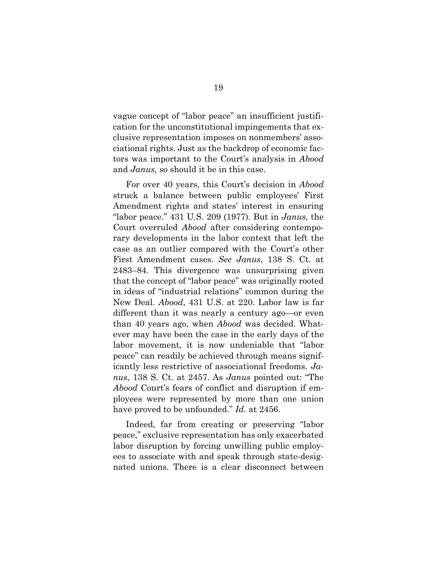vague concept of "labor peace" an insufficient justification for the unconstitutional impingements that exclusive representation imposes on nonmembers' associational rights. Just as the backdrop of economic factors was important to the Court's analysis in *Abood* and *Janus,* so should it be in this case.

For over 40 years, this Court's decision in *Abood* struck a balance between public employees' First Amendment rights and states' interest in ensuring "labor peace." 431 U.S. 209 (1977). But in *Janus*, the Court overruled *Abood* after considering contemporary developments in the labor context that left the case as an outlier compared with the Court's other First Amendment cases. *See Janus*, 138 S. Ct. at 2483–84. This divergence was unsurprising given that the concept of "labor peace" was originally rooted in ideas of "industrial relations" common during the New Deal. *Abood*, 431 U.S. at 220. Labor law is far different than it was nearly a century ago—or even than 40 years ago, when *Abood* was decided. Whatever may have been the case in the early days of the labor movement, it is now undeniable that "labor peace" can readily be achieved through means significantly less restrictive of associational freedoms. *Janus*, 138 S. Ct. at 2457. As *Janus* pointed out: "The *Abood* Court's fears of conflict and disruption if employees were represented by more than one union have proved to be unfounded." *Id.* at 2456.

Indeed, far from creating or preserving "labor peace," exclusive representation has only exacerbated labor disruption by forcing unwilling public employees to associate with and speak through state-designated unions. There is a clear disconnect between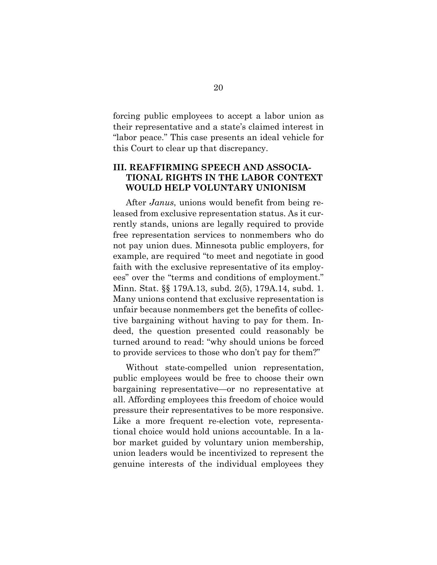forcing public employees to accept a labor union as their representative and a state's claimed interest in "labor peace." This case presents an ideal vehicle for this Court to clear up that discrepancy.

#### <span id="page-26-0"></span>**III. REAFFIRMING SPEECH AND ASSOCIA-TIONAL RIGHTS IN THE LABOR CONTEXT WOULD HELP VOLUNTARY UNIONISM**

After *Janus*, unions would benefit from being released from exclusive representation status. As it currently stands, unions are legally required to provide free representation services to nonmembers who do not pay union dues. Minnesota public employers, for example, are required "to meet and negotiate in good faith with the exclusive representative of its employees" over the "terms and conditions of employment." Minn. Stat. §§ 179A.13, subd. 2(5), 179A.14, subd. 1. Many unions contend that exclusive representation is unfair because nonmembers get the benefits of collective bargaining without having to pay for them. Indeed, the question presented could reasonably be turned around to read: "why should unions be forced to provide services to those who don't pay for them?"

Without state-compelled union representation, public employees would be free to choose their own bargaining representative—or no representative at all. Affording employees this freedom of choice would pressure their representatives to be more responsive. Like a more frequent re-election vote, representational choice would hold unions accountable. In a labor market guided by voluntary union membership, union leaders would be incentivized to represent the genuine interests of the individual employees they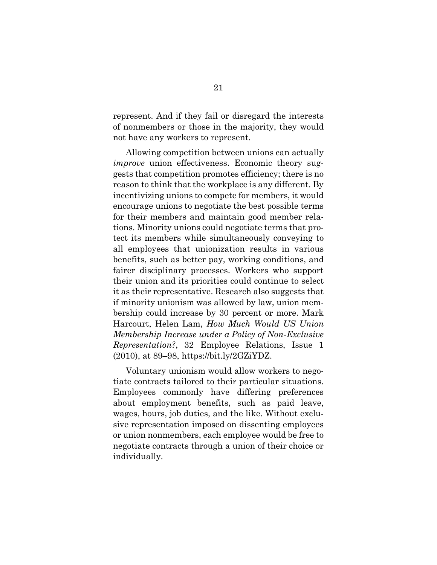represent. And if they fail or disregard the interests of nonmembers or those in the majority, they would not have any workers to represent.

Allowing competition between unions can actually *improve* union effectiveness. Economic theory suggests that competition promotes efficiency; there is no reason to think that the workplace is any different. By incentivizing unions to compete for members, it would encourage unions to negotiate the best possible terms for their members and maintain good member relations. Minority unions could negotiate terms that protect its members while simultaneously conveying to all employees that unionization results in various benefits, such as better pay, working conditions, and fairer disciplinary processes. Workers who support their union and its priorities could continue to select it as their representative. Research also suggests that if minority unionism was allowed by law, union membership could increase by 30 percent or more. Mark Harcourt, Helen Lam, *How Much Would US Union Membership Increase under a Policy of Non-Exclusive Representation?*, 32 Employee Relations, Issue 1 (2010), at 89–98, https://bit.ly/2GZiYDZ.

Voluntary unionism would allow workers to negotiate contracts tailored to their particular situations. Employees commonly have differing preferences about employment benefits, such as paid leave, wages, hours, job duties, and the like. Without exclusive representation imposed on dissenting employees or union nonmembers, each employee would be free to negotiate contracts through a union of their choice or individually.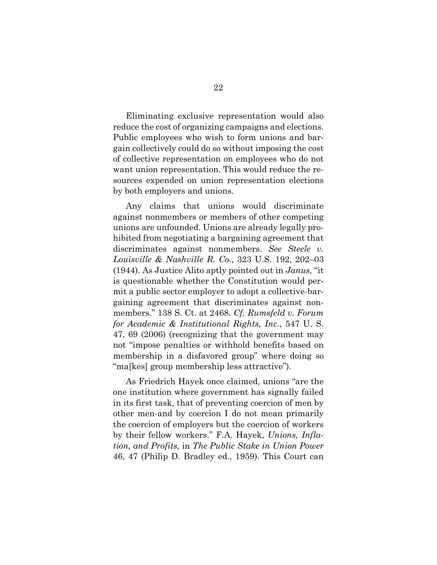Eliminating exclusive representation would also reduce the cost of organizing campaigns and elections. Public employees who wish to form unions and bargain collectively could do so without imposing the cost of collective representation on employees who do not want union representation. This would reduce the resources expended on union representation elections by both employers and unions.

Any claims that unions would discriminate against nonmembers or members of other competing unions are unfounded. Unions are already legally prohibited from negotiating a bargaining agreement that discriminates against nonmembers. *See Steele v. Louisville & Nashville R. Co.*, 323 U.S. 192, 202–03 (1944). As Justice Alito aptly pointed out in *Janus*, "it is questionable whether the Constitution would permit a public sector employer to adopt a collective-bargaining agreement that discriminates against nonmembers." 138 S. Ct. at 2468. *Cf. Rumsfeld v. Forum for Academic & Institutional Rights, Inc.*, 547 U. S. 47, 69 (2006) (recognizing that the government may not "impose penalties or withhold benefits based on membership in a disfavored group" where doing so "ma[kes] group membership less attractive").

As Friedrich Hayek once claimed, unions "are the one institution where government has signally failed in its first task, that of preventing coercion of men by other men-and by coercion I do not mean primarily the coercion of employers but the coercion of workers by their fellow workers." F.A. Hayek, *Unions, Inflation, and Profits,* in *The Public Stake in Union Power* 46, 47 (Philip D. Bradley ed., 1959). This Court can